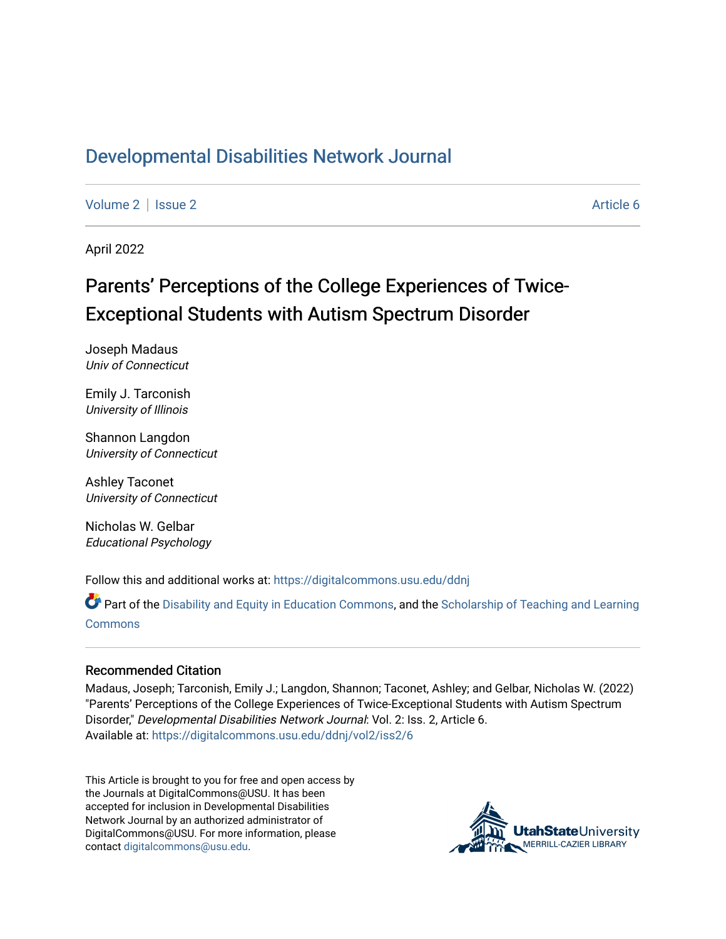# [Developmental Disabilities Network Journal](https://digitalcommons.usu.edu/ddnj)

[Volume 2](https://digitalcommons.usu.edu/ddnj/vol2) | [Issue 2](https://digitalcommons.usu.edu/ddnj/vol2/iss2) Article 6

April 2022

# Parents' Perceptions of the College Experiences of Twice-Exceptional Students with Autism Spectrum Disorder

Joseph Madaus Univ of Connecticut

Emily J. Tarconish University of Illinois

Shannon Langdon University of Connecticut

Ashley Taconet University of Connecticut

Nicholas W. Gelbar Educational Psychology

Follow this and additional works at: [https://digitalcommons.usu.edu/ddnj](https://digitalcommons.usu.edu/ddnj?utm_source=digitalcommons.usu.edu%2Fddnj%2Fvol2%2Fiss2%2F6&utm_medium=PDF&utm_campaign=PDFCoverPages) 

Part of the [Disability and Equity in Education Commons](http://network.bepress.com/hgg/discipline/1040?utm_source=digitalcommons.usu.edu%2Fddnj%2Fvol2%2Fiss2%2F6&utm_medium=PDF&utm_campaign=PDFCoverPages), and the [Scholarship of Teaching and Learning](http://network.bepress.com/hgg/discipline/1328?utm_source=digitalcommons.usu.edu%2Fddnj%2Fvol2%2Fiss2%2F6&utm_medium=PDF&utm_campaign=PDFCoverPages) [Commons](http://network.bepress.com/hgg/discipline/1328?utm_source=digitalcommons.usu.edu%2Fddnj%2Fvol2%2Fiss2%2F6&utm_medium=PDF&utm_campaign=PDFCoverPages)

#### Recommended Citation

Madaus, Joseph; Tarconish, Emily J.; Langdon, Shannon; Taconet, Ashley; and Gelbar, Nicholas W. (2022) "Parents' Perceptions of the College Experiences of Twice-Exceptional Students with Autism Spectrum Disorder," Developmental Disabilities Network Journal: Vol. 2: Iss. 2, Article 6. Available at: [https://digitalcommons.usu.edu/ddnj/vol2/iss2/6](https://digitalcommons.usu.edu/ddnj/vol2/iss2/6?utm_source=digitalcommons.usu.edu%2Fddnj%2Fvol2%2Fiss2%2F6&utm_medium=PDF&utm_campaign=PDFCoverPages) 

This Article is brought to you for free and open access by the Journals at DigitalCommons@USU. It has been accepted for inclusion in Developmental Disabilities Network Journal by an authorized administrator of DigitalCommons@USU. For more information, please contact [digitalcommons@usu.edu](mailto:digitalcommons@usu.edu).

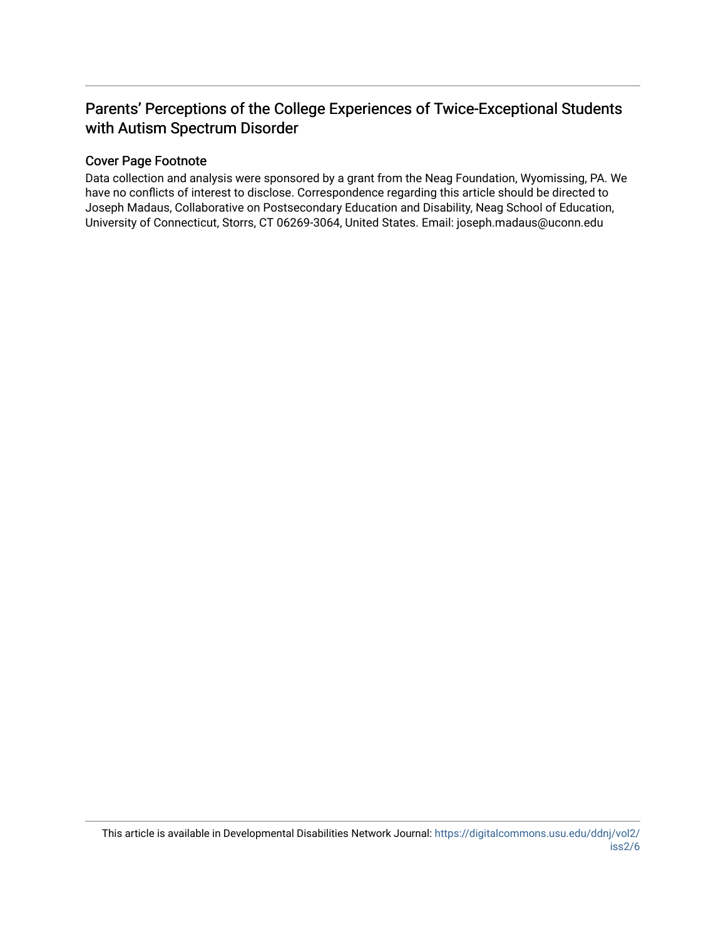# Parents' Perceptions of the College Experiences of Twice-Exceptional Students with Autism Spectrum Disorder

# Cover Page Footnote

Data collection and analysis were sponsored by a grant from the Neag Foundation, Wyomissing, PA. We have no conflicts of interest to disclose. Correspondence regarding this article should be directed to Joseph Madaus, Collaborative on Postsecondary Education and Disability, Neag School of Education, University of Connecticut, Storrs, CT 06269-3064, United States. Email: joseph.madaus@uconn.edu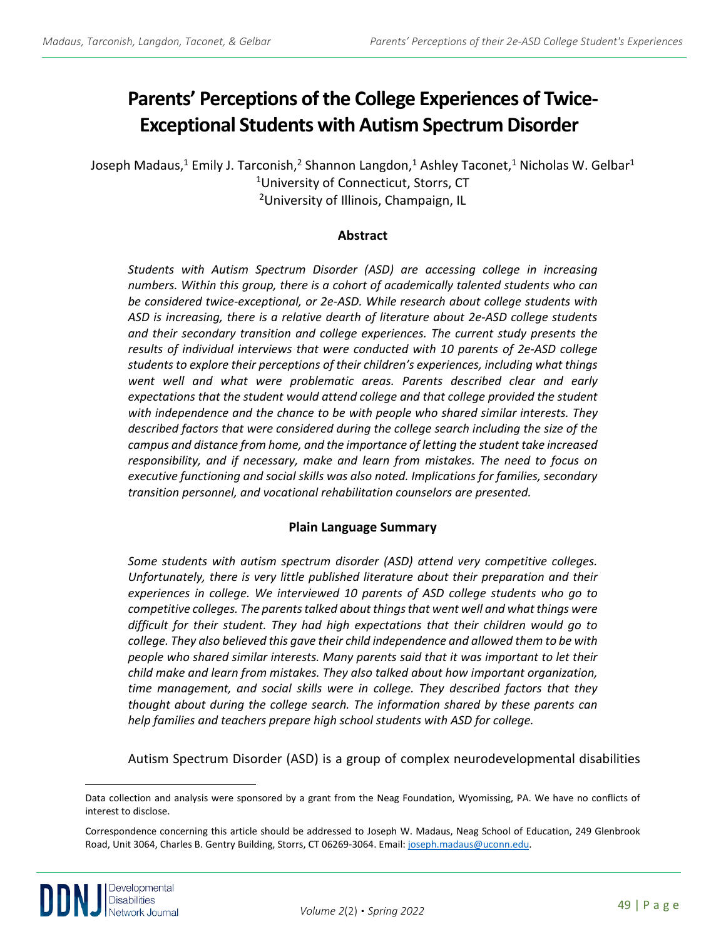# **Parents' Perceptions of the College Experiences of Twice-Exceptional Students with Autism Spectrum Disorder**

Joseph Madaus,<sup>1</sup> Emily J. Tarconish,<sup>2</sup> Shannon Langdon,<sup>1</sup> Ashley Taconet,<sup>1</sup> Nicholas W. Gelbar<sup>1</sup> 1University of Connecticut, Storrs, CT 2University of Illinois, Champaign, IL

#### **Abstract**

*Students with Autism Spectrum Disorder (ASD) are accessing college in increasing numbers. Within this group, there is a cohort of academically talented students who can be considered twice-exceptional, or 2e-ASD. While research about college students with ASD is increasing, there is a relative dearth of literature about 2e-ASD college students and their secondary transition and college experiences. The current study presents the results of individual interviews that were conducted with 10 parents of 2e-ASD college students to explore their perceptions of their children's experiences, including what things went well and what were problematic areas. Parents described clear and early expectations that the student would attend college and that college provided the student with independence and the chance to be with people who shared similar interests. They described factors that were considered during the college search including the size of the campus and distance from home, and the importance of letting the student take increased responsibility, and if necessary, make and learn from mistakes. The need to focus on executive functioning and social skills was also noted. Implications for families, secondary transition personnel, and vocational rehabilitation counselors are presented.*

# **Plain Language Summary**

*Some students with autism spectrum disorder (ASD) attend very competitive colleges. Unfortunately, there is very little published literature about their preparation and their experiences in college. We interviewed 10 parents of ASD college students who go to competitive colleges. The parents talked about things that went well and what things were difficult for their student. They had high expectations that their children would go to college. They also believed this gave their child independence and allowed them to be with people who shared similar interests. Many parents said that it was important to let their child make and learn from mistakes. They also talked about how important organization, time management, and social skills were in college. They described factors that they thought about during the college search. The information shared by these parents can help families and teachers prepare high school students with ASD for college.*

Autism Spectrum Disorder (ASD) is a group of complex neurodevelopmental disabilities

<span id="page-2-0"></span>Data collection and analysis were sponsored by a grant from the Neag Foundation, Wyomissing, PA. We have no conflicts of interest to disclose.

Correspondence concerning this article should be addressed to Joseph W. Madaus, Neag School of Education, 249 Glenbrook Road, Unit 3064, Charles B. Gentry Building, Storrs, CT 06269-3064. Email: [joseph.madaus@uconn.edu.](mailto:joseph.madaus@uconn.edu)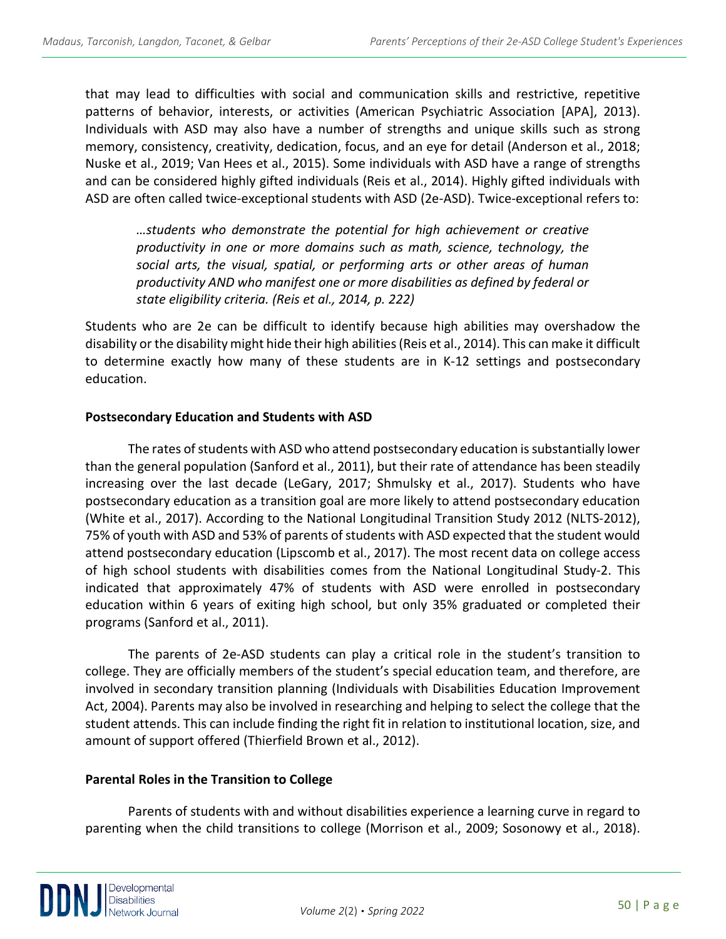that may lead to difficulties with social and communication skills and restrictive, repetitive patterns of behavior, interests, or activities (American Psychiatric Association [APA], 2013). Individuals with ASD may also have a number of strengths and unique skills such as strong memory, consistency, creativity, dedication, focus, and an eye for detail (Anderson et al., 2018; Nuske et al., 2019; Van Hees et al., 2015). Some individuals with ASD have a range of strengths and can be considered highly gifted individuals (Reis et al., 2014). Highly gifted individuals with ASD are often called twice-exceptional students with ASD (2e-ASD). Twice-exceptional refers to:

*…students who demonstrate the potential for high achievement or creative productivity in one or more domains such as math, science, technology, the social arts, the visual, spatial, or performing arts or other areas of human productivity AND who manifest one or more disabilities as defined by federal or state eligibility criteria. (Reis et al., 2014, p. 222)*

Students who are 2e can be difficult to identify because high abilities may overshadow the disability or the disability might hide their high abilities (Reis et al., 2014). This can make it difficult to determine exactly how many of these students are in K-12 settings and postsecondary education.

# **Postsecondary Education and Students with ASD**

The rates of students with ASD who attend postsecondary education is substantially lower than the general population (Sanford et al., 2011), but their rate of attendance has been steadily increasing over the last decade (LeGary, 2017; Shmulsky et al., 2017). Students who have postsecondary education as a transition goal are more likely to attend postsecondary education (White et al., 2017). According to the National Longitudinal Transition Study 2012 (NLTS-2012), 75% of youth with ASD and 53% of parents of students with ASD expected that the student would attend postsecondary education (Lipscomb et al., 2017). The most recent data on college access of high school students with disabilities comes from the National Longitudinal Study-2. This indicated that approximately 47% of students with ASD were enrolled in postsecondary education within 6 years of exiting high school, but only 35% graduated or completed their programs (Sanford et al., 2011).

The parents of 2e-ASD students can play a critical role in the student's transition to college. They are officially members of the student's special education team, and therefore, are involved in secondary transition planning (Individuals with Disabilities Education Improvement Act, 2004). Parents may also be involved in researching and helping to select the college that the student attends. This can include finding the right fit in relation to institutional location, size, and amount of support offered (Thierfield Brown et al., 2012).

# **Parental Roles in the Transition to College**

Parents of students with and without disabilities experience a learning curve in regard to parenting when the child transitions to college (Morrison et al., 2009; Sosonowy et al., 2018).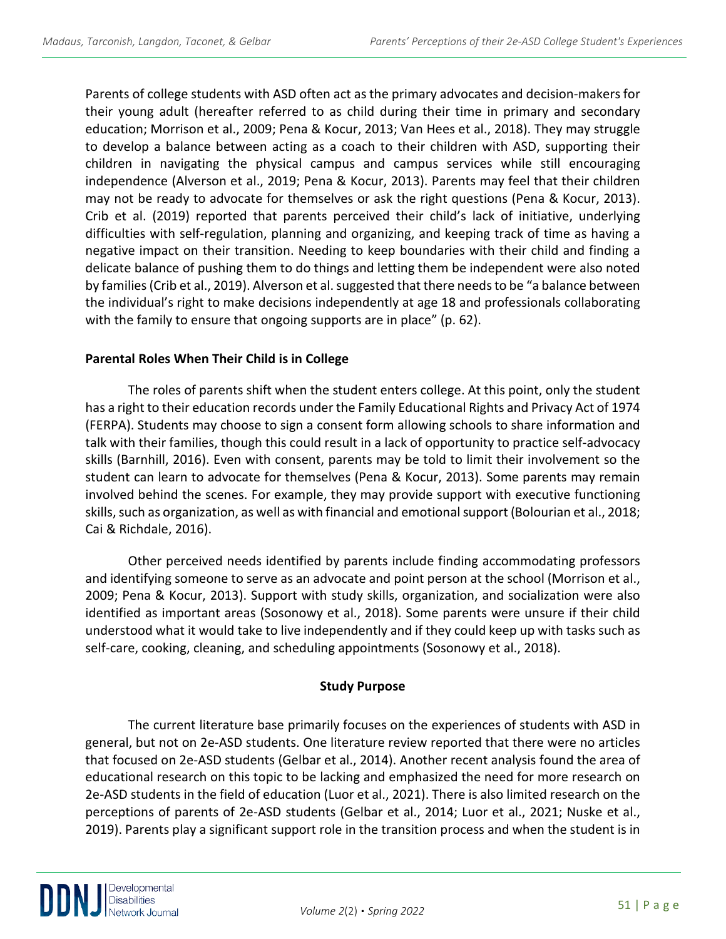Parents of college students with ASD often act as the primary advocates and decision-makers for their young adult (hereafter referred to as child during their time in primary and secondary education; Morrison et al., 2009; Pena & Kocur, 2013; Van Hees et al., 2018). They may struggle to develop a balance between acting as a coach to their children with ASD, supporting their children in navigating the physical campus and campus services while still encouraging independence (Alverson et al., 2019; Pena & Kocur, 2013). Parents may feel that their children may not be ready to advocate for themselves or ask the right questions (Pena & Kocur, 2013). Crib et al. (2019) reported that parents perceived their child's lack of initiative, underlying difficulties with self-regulation, planning and organizing, and keeping track of time as having a negative impact on their transition. Needing to keep boundaries with their child and finding a delicate balance of pushing them to do things and letting them be independent were also noted by families (Crib et al., 2019). Alverson et al. suggested that there needs to be "a balance between the individual's right to make decisions independently at age 18 and professionals collaborating with the family to ensure that ongoing supports are in place" (p. 62).

# **Parental Roles When Their Child is in College**

The roles of parents shift when the student enters college. At this point, only the student has a right to their education records under the Family Educational Rights and Privacy Act of 1974 (FERPA). Students may choose to sign a consent form allowing schools to share information and talk with their families, though this could result in a lack of opportunity to practice self-advocacy skills (Barnhill, 2016). Even with consent, parents may be told to limit their involvement so the student can learn to advocate for themselves (Pena & Kocur, 2013). Some parents may remain involved behind the scenes. For example, they may provide support with executive functioning skills, such as organization, as well as with financial and emotional support (Bolourian et al., 2018; Cai & Richdale, 2016).

Other perceived needs identified by parents include finding accommodating professors and identifying someone to serve as an advocate and point person at the school (Morrison et al., 2009; Pena & Kocur, 2013). Support with study skills, organization, and socialization were also identified as important areas (Sosonowy et al., 2018). Some parents were unsure if their child understood what it would take to live independently and if they could keep up with tasks such as self-care, cooking, cleaning, and scheduling appointments (Sosonowy et al., 2018).

# **Study Purpose**

The current literature base primarily focuses on the experiences of students with ASD in general, but not on 2e-ASD students. One literature review reported that there were no articles that focused on 2e-ASD students (Gelbar et al., 2014). Another recent analysis found the area of educational research on this topic to be lacking and emphasized the need for more research on 2e-ASD students in the field of education (Luor et al., 2021). There is also limited research on the perceptions of parents of 2e-ASD students (Gelbar et al., 2014; Luor et al., 2021; Nuske et al., 2019). Parents play a significant support role in the transition process and when the student is in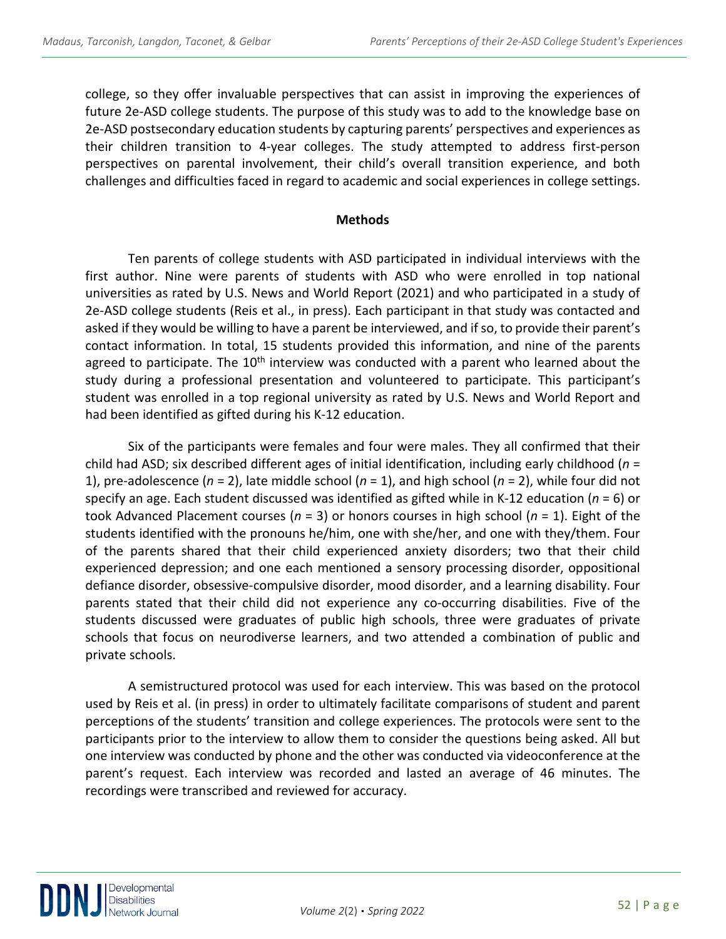college, so they offer invaluable perspectives that can assist in improving the experiences of future 2e-ASD college students. The purpose of this study was to add to the knowledge base on 2e-ASD postsecondary education students by capturing parents' perspectives and experiences as their children transition to 4-year colleges. The study attempted to address first-person perspectives on parental involvement, their child's overall transition experience, and both challenges and difficulties faced in regard to academic and social experiences in college settings.

#### **Methods**

Ten parents of college students with ASD participated in individual interviews with the first author. Nine were parents of students with ASD who were enrolled in top national universities as rated by U.S. News and World Report (2021) and who participated in a study of 2e-ASD college students (Reis et al., in press). Each participant in that study was contacted and asked if they would be willing to have a parent be interviewed, and if so, to provide their parent's contact information. In total, 15 students provided this information, and nine of the parents agreed to participate. The  $10<sup>th</sup>$  interview was conducted with a parent who learned about the study during a professional presentation and volunteered to participate. This participant's student was enrolled in a top regional university as rated by U.S. News and World Report and had been identified as gifted during his K-12 education.

Six of the participants were females and four were males. They all confirmed that their child had ASD; six described different ages of initial identification, including early childhood (*n* = 1), pre-adolescence (*n* = 2), late middle school (*n* = 1), and high school (*n* = 2), while four did not specify an age. Each student discussed was identified as gifted while in K-12 education (*n* = 6) or took Advanced Placement courses (*n* = 3) or honors courses in high school (*n* = 1). Eight of the students identified with the pronouns he/him, one with she/her, and one with they/them. Four of the parents shared that their child experienced anxiety disorders; two that their child experienced depression; and one each mentioned a sensory processing disorder, oppositional defiance disorder, obsessive-compulsive disorder, mood disorder, and a learning disability. Four parents stated that their child did not experience any co-occurring disabilities. Five of the students discussed were graduates of public high schools, three were graduates of private schools that focus on neurodiverse learners, and two attended a combination of public and private schools.

A semistructured protocol was used for each interview. This was based on the protocol used by Reis et al. (in press) in order to ultimately facilitate comparisons of student and parent perceptions of the students' transition and college experiences. The protocols were sent to the participants prior to the interview to allow them to consider the questions being asked. All but one interview was conducted by phone and the other was conducted via videoconference at the parent's request. Each interview was recorded and lasted an average of 46 minutes. The recordings were transcribed and reviewed for accuracy.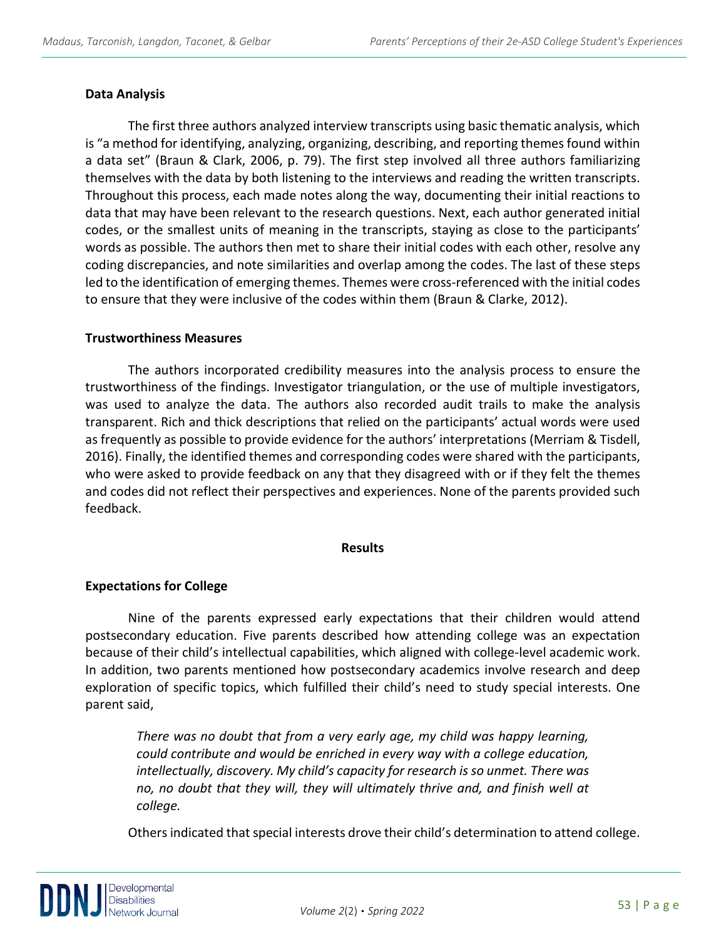#### **Data Analysis**

The first three authors analyzed interview transcripts using basic thematic analysis, which is "a method for identifying, analyzing, organizing, describing, and reporting themes found within a data set" (Braun & Clark, 2006, p. 79). The first step involved all three authors familiarizing themselves with the data by both listening to the interviews and reading the written transcripts. Throughout this process, each made notes along the way, documenting their initial reactions to data that may have been relevant to the research questions. Next, each author generated initial codes, or the smallest units of meaning in the transcripts, staying as close to the participants' words as possible. The authors then met to share their initial codes with each other, resolve any coding discrepancies, and note similarities and overlap among the codes. The last of these steps led to the identification of emerging themes. Themes were cross-referenced with the initial codes to ensure that they were inclusive of the codes within them (Braun & Clarke, 2012).

#### **Trustworthiness Measures**

The authors incorporated credibility measures into the analysis process to ensure the trustworthiness of the findings. Investigator triangulation, or the use of multiple investigators, was used to analyze the data. The authors also recorded audit trails to make the analysis transparent. Rich and thick descriptions that relied on the participants' actual words were used as frequently as possible to provide evidence for the authors' interpretations (Merriam & Tisdell, 2016). Finally, the identified themes and corresponding codes were shared with the participants, who were asked to provide feedback on any that they disagreed with or if they felt the themes and codes did not reflect their perspectives and experiences. None of the parents provided such feedback.

#### **Results**

#### **Expectations for College**

Nine of the parents expressed early expectations that their children would attend postsecondary education. Five parents described how attending college was an expectation because of their child's intellectual capabilities, which aligned with college-level academic work. In addition, two parents mentioned how postsecondary academics involve research and deep exploration of specific topics, which fulfilled their child's need to study special interests. One parent said,

*There was no doubt that from a very early age, my child was happy learning, could contribute and would be enriched in every way with a college education, intellectually, discovery. My child's capacity for research is so unmet. There was no, no doubt that they will, they will ultimately thrive and, and finish well at college.*

Others indicated that special interests drove their child's determination to attend college.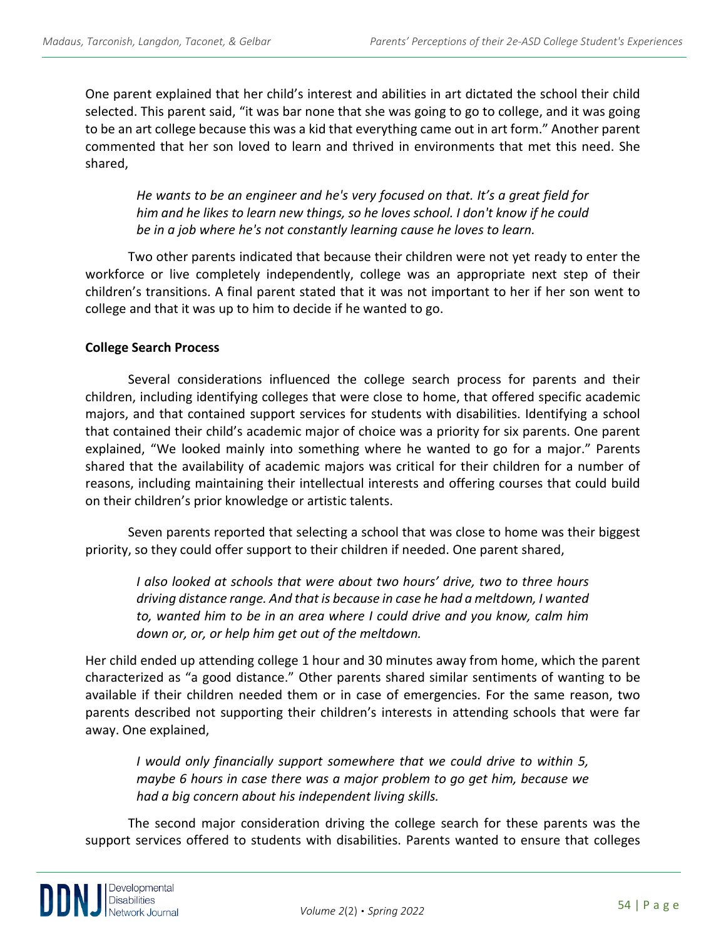One parent explained that her child's interest and abilities in art dictated the school their child selected. This parent said, "it was bar none that she was going to go to college, and it was going to be an art college because this was a kid that everything came out in art form." Another parent commented that her son loved to learn and thrived in environments that met this need. She shared,

*He wants to be an engineer and he's very focused on that. It's a great field for him and he likes to learn new things, so he loves school. I don't know if he could be in a job where he's not constantly learning cause he loves to learn.*

Two other parents indicated that because their children were not yet ready to enter the workforce or live completely independently, college was an appropriate next step of their children's transitions. A final parent stated that it was not important to her if her son went to college and that it was up to him to decide if he wanted to go.

#### **College Search Process**

Several considerations influenced the college search process for parents and their children, including identifying colleges that were close to home, that offered specific academic majors, and that contained support services for students with disabilities. Identifying a school that contained their child's academic major of choice was a priority for six parents. One parent explained, "We looked mainly into something where he wanted to go for a major." Parents shared that the availability of academic majors was critical for their children for a number of reasons, including maintaining their intellectual interests and offering courses that could build on their children's prior knowledge or artistic talents.

Seven parents reported that selecting a school that was close to home was their biggest priority, so they could offer support to their children if needed. One parent shared,

*I also looked at schools that were about two hours' drive, two to three hours driving distance range. And that is because in case he had a meltdown, I wanted to, wanted him to be in an area where I could drive and you know, calm him down or, or, or help him get out of the meltdown.*

Her child ended up attending college 1 hour and 30 minutes away from home, which the parent characterized as "a good distance." Other parents shared similar sentiments of wanting to be available if their children needed them or in case of emergencies. For the same reason, two parents described not supporting their children's interests in attending schools that were far away. One explained,

*I would only financially support somewhere that we could drive to within 5, maybe 6 hours in case there was a major problem to go get him, because we had a big concern about his independent living skills.*

The second major consideration driving the college search for these parents was the support services offered to students with disabilities. Parents wanted to ensure that colleges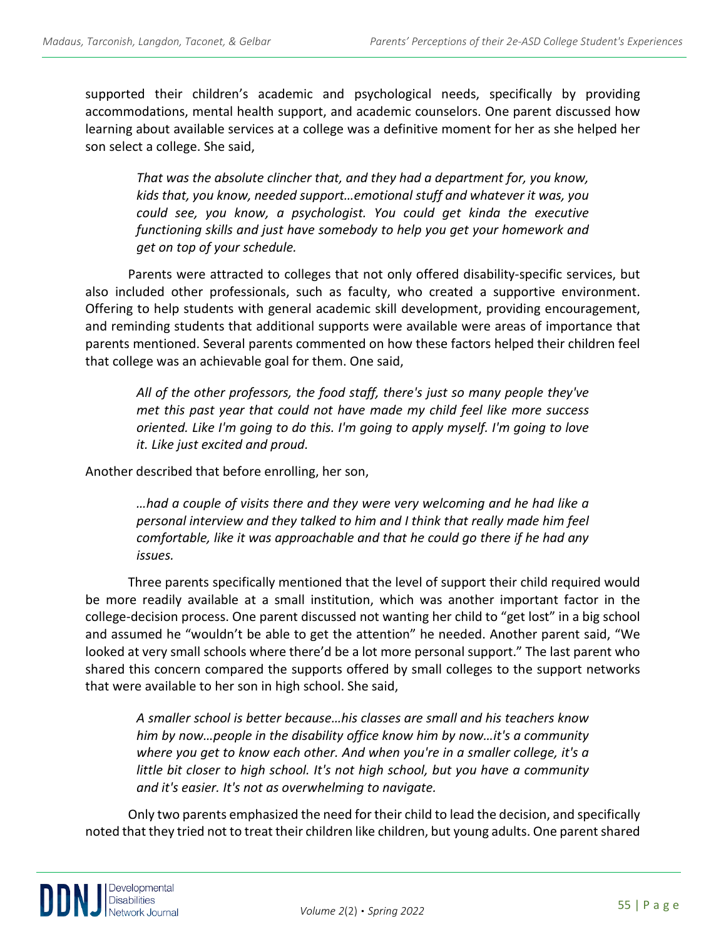supported their children's academic and psychological needs, specifically by providing accommodations, mental health support, and academic counselors. One parent discussed how learning about available services at a college was a definitive moment for her as she helped her son select a college. She said,

*That was the absolute clincher that, and they had a department for, you know, kids that, you know, needed support…emotional stuff and whatever it was, you could see, you know, a psychologist. You could get kinda the executive functioning skills and just have somebody to help you get your homework and get on top of your schedule.*

Parents were attracted to colleges that not only offered disability-specific services, but also included other professionals, such as faculty, who created a supportive environment. Offering to help students with general academic skill development, providing encouragement, and reminding students that additional supports were available were areas of importance that parents mentioned. Several parents commented on how these factors helped their children feel that college was an achievable goal for them. One said,

*All of the other professors, the food staff, there's just so many people they've met this past year that could not have made my child feel like more success oriented. Like I'm going to do this. I'm going to apply myself. I'm going to love it. Like just excited and proud.*

Another described that before enrolling, her son,

*…had a couple of visits there and they were very welcoming and he had like a personal interview and they talked to him and I think that really made him feel comfortable, like it was approachable and that he could go there if he had any issues.*

Three parents specifically mentioned that the level of support their child required would be more readily available at a small institution, which was another important factor in the college-decision process. One parent discussed not wanting her child to "get lost" in a big school and assumed he "wouldn't be able to get the attention" he needed. Another parent said, "We looked at very small schools where there'd be a lot more personal support." The last parent who shared this concern compared the supports offered by small colleges to the support networks that were available to her son in high school. She said,

*A smaller school is better because…his classes are small and his teachers know him by now…people in the disability office know him by now…it's a community where you get to know each other. And when you're in a smaller college, it's a little bit closer to high school. It's not high school, but you have a community and it's easier. It's not as overwhelming to navigate.*

Only two parents emphasized the need for their child to lead the decision, and specifically noted that they tried not to treat their children like children, but young adults. One parent shared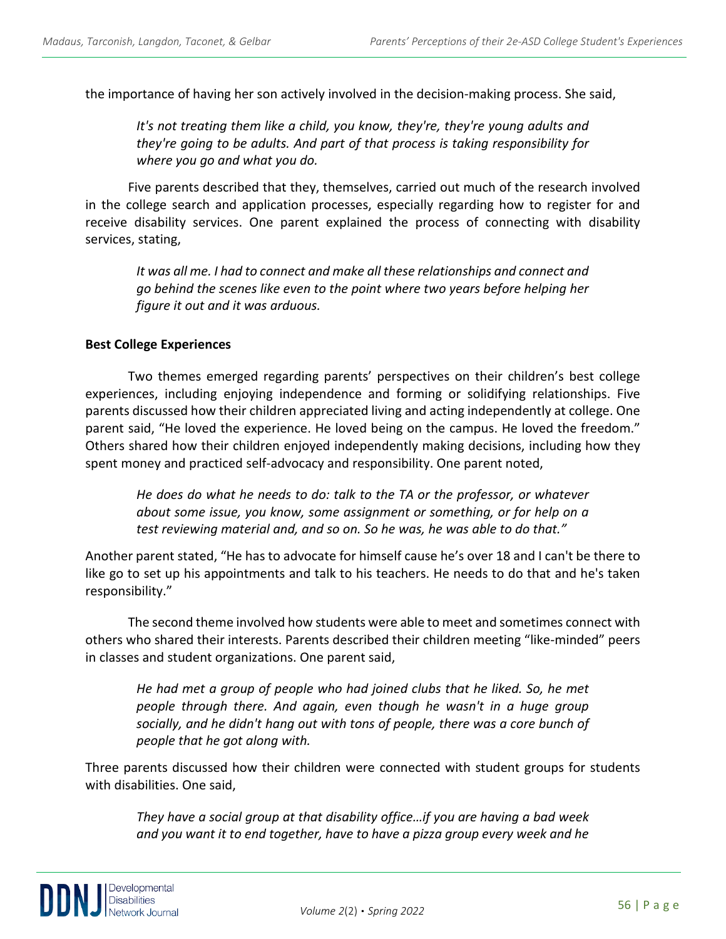the importance of having her son actively involved in the decision-making process. She said,

*It's not treating them like a child, you know, they're, they're young adults and they're going to be adults. And part of that process is taking responsibility for where you go and what you do.*

Five parents described that they, themselves, carried out much of the research involved in the college search and application processes, especially regarding how to register for and receive disability services. One parent explained the process of connecting with disability services, stating,

*It was all me. I had to connect and make all these relationships and connect and go behind the scenes like even to the point where two years before helping her figure it out and it was arduous.*

#### **Best College Experiences**

Two themes emerged regarding parents' perspectives on their children's best college experiences, including enjoying independence and forming or solidifying relationships. Five parents discussed how their children appreciated living and acting independently at college. One parent said, "He loved the experience. He loved being on the campus. He loved the freedom." Others shared how their children enjoyed independently making decisions, including how they spent money and practiced self-advocacy and responsibility. One parent noted,

*He does do what he needs to do: talk to the TA or the professor, or whatever about some issue, you know, some assignment or something, or for help on a test reviewing material and, and so on. So he was, he was able to do that."*

Another parent stated, "He has to advocate for himself cause he's over 18 and I can't be there to like go to set up his appointments and talk to his teachers. He needs to do that and he's taken responsibility."

The second theme involved how students were able to meet and sometimes connect with others who shared their interests. Parents described their children meeting "like-minded" peers in classes and student organizations. One parent said,

*He had met a group of people who had joined clubs that he liked. So, he met people through there. And again, even though he wasn't in a huge group socially, and he didn't hang out with tons of people, there was a core bunch of people that he got along with.*

Three parents discussed how their children were connected with student groups for students with disabilities. One said,

*They have a social group at that disability office…if you are having a bad week and you want it to end together, have to have a pizza group every week and he*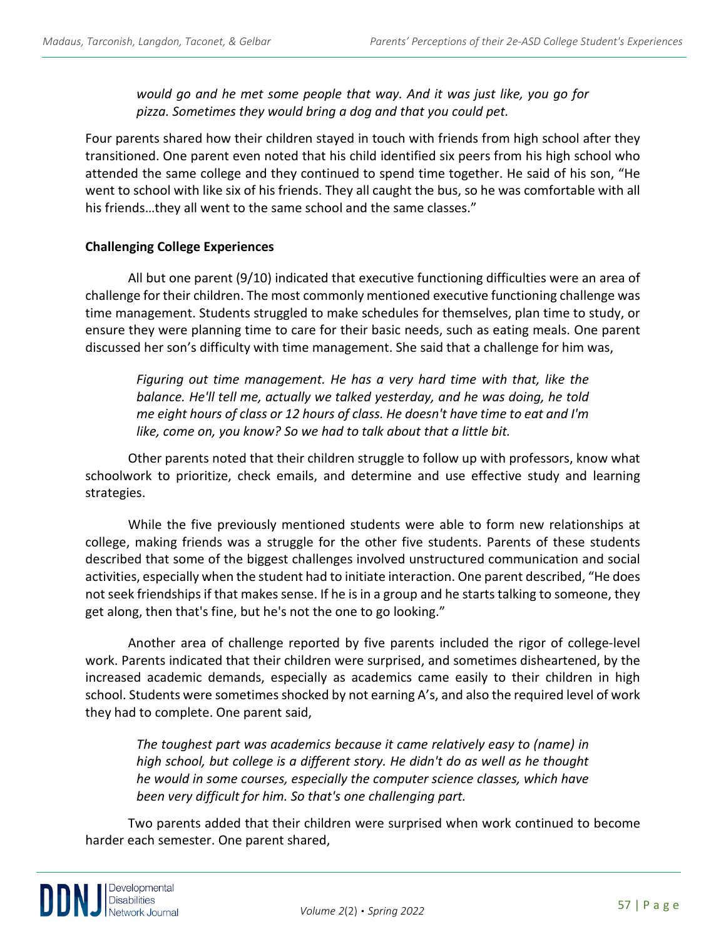*would go and he met some people that way. And it was just like, you go for pizza. Sometimes they would bring a dog and that you could pet.*

Four parents shared how their children stayed in touch with friends from high school after they transitioned. One parent even noted that his child identified six peers from his high school who attended the same college and they continued to spend time together. He said of his son, "He went to school with like six of his friends. They all caught the bus, so he was comfortable with all his friends…they all went to the same school and the same classes."

#### **Challenging College Experiences**

All but one parent (9/10) indicated that executive functioning difficulties were an area of challenge for their children. The most commonly mentioned executive functioning challenge was time management. Students struggled to make schedules for themselves, plan time to study, or ensure they were planning time to care for their basic needs, such as eating meals. One parent discussed her son's difficulty with time management. She said that a challenge for him was,

*Figuring out time management. He has a very hard time with that, like the balance. He'll tell me, actually we talked yesterday, and he was doing, he told me eight hours of class or 12 hours of class. He doesn't have time to eat and I'm like, come on, you know? So we had to talk about that a little bit.*

Other parents noted that their children struggle to follow up with professors, know what schoolwork to prioritize, check emails, and determine and use effective study and learning strategies.

While the five previously mentioned students were able to form new relationships at college, making friends was a struggle for the other five students. Parents of these students described that some of the biggest challenges involved unstructured communication and social activities, especially when the student had to initiate interaction. One parent described, "He does not seek friendships if that makes sense. If he is in a group and he starts talking to someone, they get along, then that's fine, but he's not the one to go looking."

Another area of challenge reported by five parents included the rigor of college-level work. Parents indicated that their children were surprised, and sometimes disheartened, by the increased academic demands, especially as academics came easily to their children in high school. Students were sometimes shocked by not earning A's, and also the required level of work they had to complete. One parent said,

*The toughest part was academics because it came relatively easy to (name) in high school, but college is a different story. He didn't do as well as he thought he would in some courses, especially the computer science classes, which have been very difficult for him. So that's one challenging part.*

Two parents added that their children were surprised when work continued to become harder each semester. One parent shared,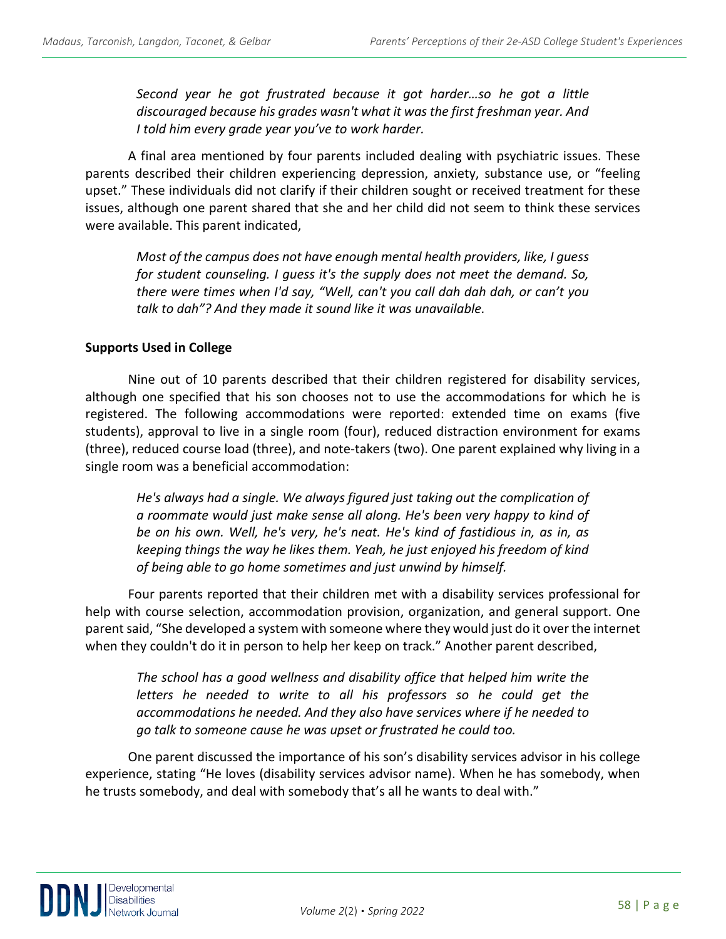*Second year he got frustrated because it got harder…so he got a little discouraged because his grades wasn't what it was the first freshman year. And I told him every grade year you've to work harder.*

A final area mentioned by four parents included dealing with psychiatric issues. These parents described their children experiencing depression, anxiety, substance use, or "feeling upset." These individuals did not clarify if their children sought or received treatment for these issues, although one parent shared that she and her child did not seem to think these services were available. This parent indicated,

*Most of the campus does not have enough mental health providers, like, I guess for student counseling. I guess it's the supply does not meet the demand. So, there were times when I'd say, "Well, can't you call dah dah dah, or can't you talk to dah"? And they made it sound like it was unavailable.*

#### **Supports Used in College**

Nine out of 10 parents described that their children registered for disability services, although one specified that his son chooses not to use the accommodations for which he is registered. The following accommodations were reported: extended time on exams (five students), approval to live in a single room (four), reduced distraction environment for exams (three), reduced course load (three), and note-takers (two). One parent explained why living in a single room was a beneficial accommodation:

*He's always had a single. We always figured just taking out the complication of a roommate would just make sense all along. He's been very happy to kind of be on his own. Well, he's very, he's neat. He's kind of fastidious in, as in, as keeping things the way he likes them. Yeah, he just enjoyed his freedom of kind of being able to go home sometimes and just unwind by himself.*

Four parents reported that their children met with a disability services professional for help with course selection, accommodation provision, organization, and general support. One parent said, "She developed a system with someone where they would just do it over the internet when they couldn't do it in person to help her keep on track." Another parent described,

*The school has a good wellness and disability office that helped him write the letters he needed to write to all his professors so he could get the accommodations he needed. And they also have services where if he needed to go talk to someone cause he was upset or frustrated he could too.* 

One parent discussed the importance of his son's disability services advisor in his college experience, stating "He loves (disability services advisor name). When he has somebody, when he trusts somebody, and deal with somebody that's all he wants to deal with."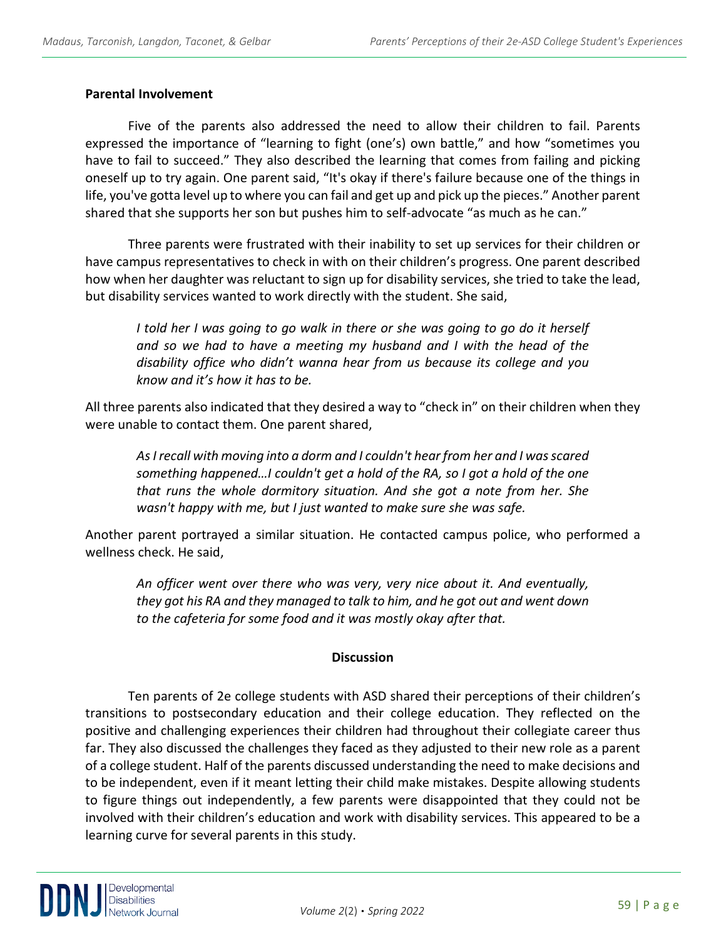#### **Parental Involvement**

Five of the parents also addressed the need to allow their children to fail. Parents expressed the importance of "learning to fight (one's) own battle," and how "sometimes you have to fail to succeed." They also described the learning that comes from failing and picking oneself up to try again. One parent said, "It's okay if there's failure because one of the things in life, you've gotta level up to where you can fail and get up and pick up the pieces." Another parent shared that she supports her son but pushes him to self-advocate "as much as he can."

Three parents were frustrated with their inability to set up services for their children or have campus representatives to check in with on their children's progress. One parent described how when her daughter was reluctant to sign up for disability services, she tried to take the lead, but disability services wanted to work directly with the student. She said,

*I told her I was going to go walk in there or she was going to go do it herself and so we had to have a meeting my husband and I with the head of the disability office who didn't wanna hear from us because its college and you know and it's how it has to be.* 

All three parents also indicated that they desired a way to "check in" on their children when they were unable to contact them. One parent shared,

*As I recall with moving into a dorm and I couldn't hear from her and I was scared something happened…I couldn't get a hold of the RA, so I got a hold of the one that runs the whole dormitory situation. And she got a note from her. She wasn't happy with me, but I just wanted to make sure she was safe.*

Another parent portrayed a similar situation. He contacted campus police, who performed a wellness check. He said,

*An officer went over there who was very, very nice about it. And eventually, they got his RA and they managed to talk to him, and he got out and went down to the cafeteria for some food and it was mostly okay after that.*

# **Discussion**

Ten parents of 2e college students with ASD shared their perceptions of their children's transitions to postsecondary education and their college education. They reflected on the positive and challenging experiences their children had throughout their collegiate career thus far. They also discussed the challenges they faced as they adjusted to their new role as a parent of a college student. Half of the parents discussed understanding the need to make decisions and to be independent, even if it meant letting their child make mistakes. Despite allowing students to figure things out independently, a few parents were disappointed that they could not be involved with their children's education and work with disability services. This appeared to be a learning curve for several parents in this study.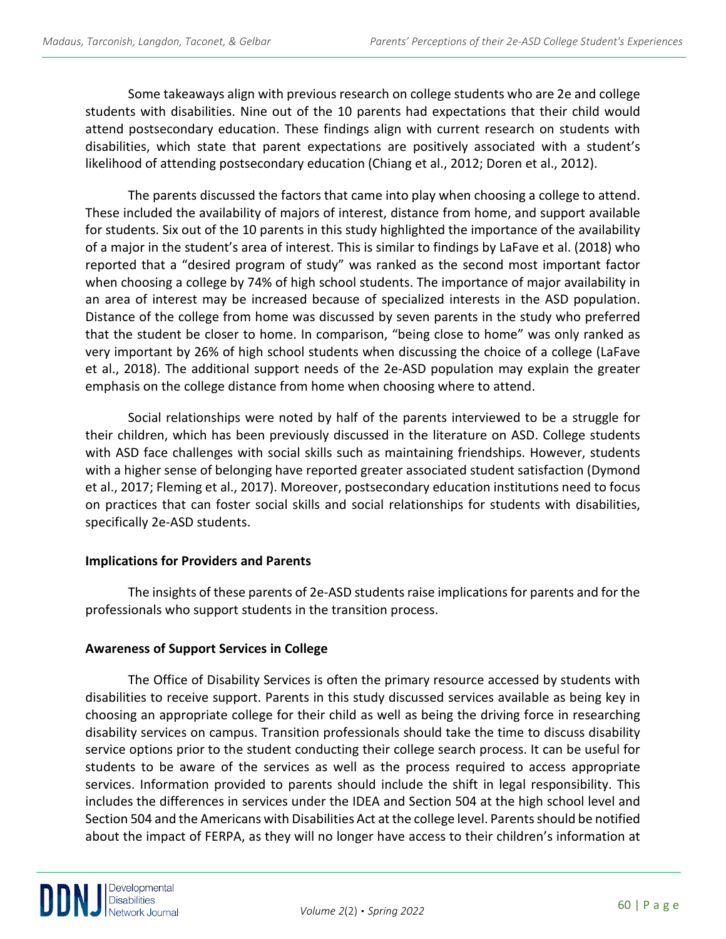Some takeaways align with previous research on college students who are 2e and college students with disabilities. Nine out of the 10 parents had expectations that their child would attend postsecondary education. These findings align with current research on students with disabilities, which state that parent expectations are positively associated with a student's likelihood of attending postsecondary education (Chiang et al., 2012; Doren et al., 2012).

The parents discussed the factors that came into play when choosing a college to attend. These included the availability of majors of interest, distance from home, and support available for students. Six out of the 10 parents in this study highlighted the importance of the availability of a major in the student's area of interest. This is similar to findings by LaFave et al. (2018) who reported that a "desired program of study" was ranked as the second most important factor when choosing a college by 74% of high school students. The importance of major availability in an area of interest may be increased because of specialized interests in the ASD population. Distance of the college from home was discussed by seven parents in the study who preferred that the student be closer to home. In comparison, "being close to home" was only ranked as very important by 26% of high school students when discussing the choice of a college (LaFave et al., 2018). The additional support needs of the 2e-ASD population may explain the greater emphasis on the college distance from home when choosing where to attend.

Social relationships were noted by half of the parents interviewed to be a struggle for their children, which has been previously discussed in the literature on ASD. College students with ASD face challenges with social skills such as maintaining friendships. However, students with a higher sense of belonging have reported greater associated student satisfaction (Dymond et al., 2017; Fleming et al., 2017). Moreover, postsecondary education institutions need to focus on practices that can foster social skills and social relationships for students with disabilities, specifically 2e-ASD students.

# **Implications for Providers and Parents**

The insights of these parents of 2e-ASD students raise implications for parents and for the professionals who support students in the transition process.

# **Awareness of Support Services in College**

The Office of Disability Services is often the primary resource accessed by students with disabilities to receive support. Parents in this study discussed services available as being key in choosing an appropriate college for their child as well as being the driving force in researching disability services on campus. Transition professionals should take the time to discuss disability service options prior to the student conducting their college search process. It can be useful for students to be aware of the services as well as the process required to access appropriate services. Information provided to parents should include the shift in legal responsibility. This includes the differences in services under the IDEA and Section 504 at the high school level and Section 504 and the Americans with Disabilities Act at the college level. Parents should be notified about the impact of FERPA, as they will no longer have access to their children's information at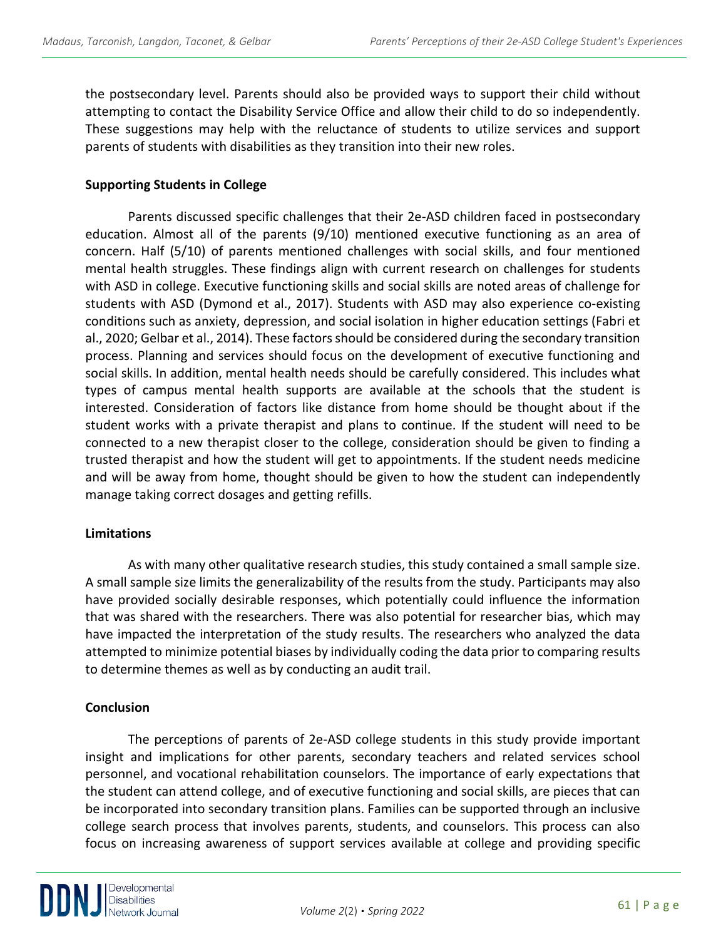the postsecondary level. Parents should also be provided ways to support their child without attempting to contact the Disability Service Office and allow their child to do so independently. These suggestions may help with the reluctance of students to utilize services and support parents of students with disabilities as they transition into their new roles.

#### **Supporting Students in College**

Parents discussed specific challenges that their 2e-ASD children faced in postsecondary education. Almost all of the parents (9/10) mentioned executive functioning as an area of concern. Half (5/10) of parents mentioned challenges with social skills, and four mentioned mental health struggles. These findings align with current research on challenges for students with ASD in college. Executive functioning skills and social skills are noted areas of challenge for students with ASD (Dymond et al., 2017). Students with ASD may also experience co-existing conditions such as anxiety, depression, and social isolation in higher education settings (Fabri et al., 2020; Gelbar et al., 2014). These factors should be considered during the secondary transition process. Planning and services should focus on the development of executive functioning and social skills. In addition, mental health needs should be carefully considered. This includes what types of campus mental health supports are available at the schools that the student is interested. Consideration of factors like distance from home should be thought about if the student works with a private therapist and plans to continue. If the student will need to be connected to a new therapist closer to the college, consideration should be given to finding a trusted therapist and how the student will get to appointments. If the student needs medicine and will be away from home, thought should be given to how the student can independently manage taking correct dosages and getting refills.

#### **Limitations**

As with many other qualitative research studies, this study contained a small sample size. A small sample size limits the generalizability of the results from the study. Participants may also have provided socially desirable responses, which potentially could influence the information that was shared with the researchers. There was also potential for researcher bias, which may have impacted the interpretation of the study results. The researchers who analyzed the data attempted to minimize potential biases by individually coding the data prior to comparing results to determine themes as well as by conducting an audit trail.

#### **Conclusion**

The perceptions of parents of 2e-ASD college students in this study provide important insight and implications for other parents, secondary teachers and related services school personnel, and vocational rehabilitation counselors. The importance of early expectations that the student can attend college, and of executive functioning and social skills, are pieces that can be incorporated into secondary transition plans. Families can be supported through an inclusive college search process that involves parents, students, and counselors. This process can also focus on increasing awareness of support services available at college and providing specific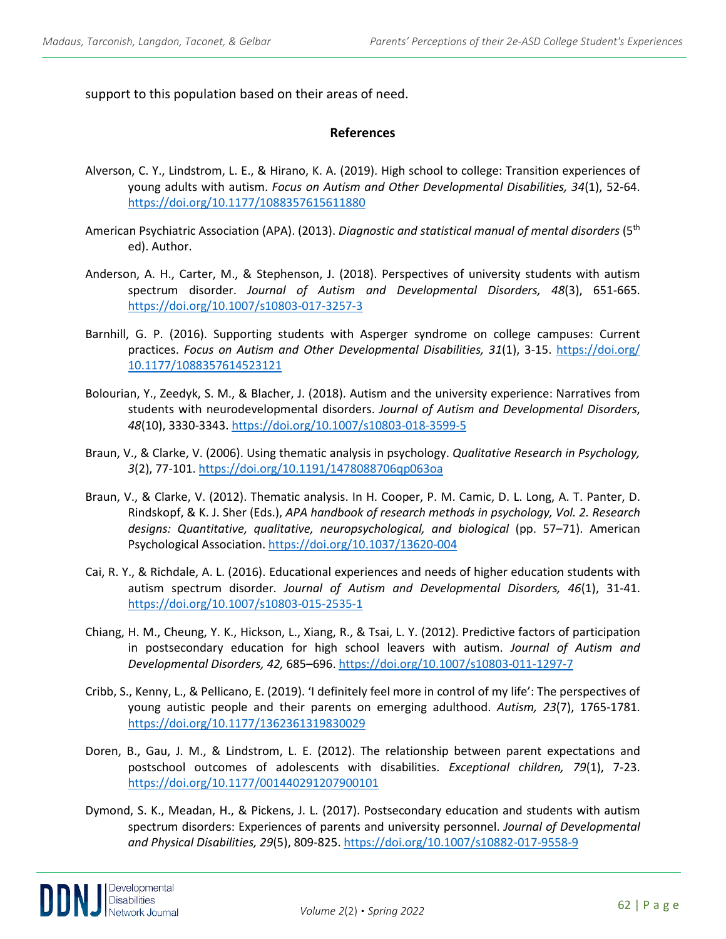support to this population based on their areas of need.

#### **References**

- Alverson, C. Y., Lindstrom, L. E., & Hirano, K. A. (2019). High school to college: Transition experiences of young adults with autism. *Focus on Autism and Other Developmental Disabilities, 34*(1), 52-64. <https://doi.org/10.1177/1088357615611880>
- American Psychiatric Association (APA). (2013). *Diagnostic and statistical manual of mental disorders* (5th ed). Author.
- Anderson, A. H., Carter, M., & Stephenson, J. (2018). Perspectives of university students with autism spectrum disorder. *Journal of Autism and Developmental Disorders, 48*(3), 651-665. <https://doi.org/10.1007/s10803-017-3257-3>
- Barnhill, G. P. (2016). Supporting students with Asperger syndrome on college campuses: Current practices. *Focus on Autism and Other Developmental Disabilities, 31*(1), 3-15. [https://doi.org/](https://doi.org/%2010.1177/1088357614523121)  [10.1177/1088357614523121](https://doi.org/%2010.1177/1088357614523121)
- Bolourian, Y., Zeedyk, S. M., & Blacher, J. (2018). Autism and the university experience: Narratives from students with neurodevelopmental disorders. *Journal of Autism and Developmental Disorders*, *48*(10), 3330-3343[. https://doi.org/10.1007/s10803-018-3599-5](https://doi.org/10.1007/s10803-018-3599-5)
- Braun, V., & Clarke, V. (2006). Using thematic analysis in psychology. *Qualitative Research in Psychology, 3*(2), 77-101[. https://doi.org/10.1191/1478088706qp063oa](https://doi.org/10.1191/1478088706qp063oa)
- Braun, V., & Clarke, V. (2012). Thematic analysis. In H. Cooper, P. M. Camic, D. L. Long, A. T. Panter, D. Rindskopf, & K. J. Sher (Eds.), *APA handbook of research methods in psychology, Vol. 2. Research designs: Quantitative, qualitative, neuropsychological, and biological* (pp. 57–71). American Psychological Association[. https://doi.org/10.1037/13620-004](https://doi.org/10.1037/13620-004)
- Cai, R. Y., & Richdale, A. L. (2016). Educational experiences and needs of higher education students with autism spectrum disorder. *Journal of Autism and Developmental Disorders, 46*(1), 31-41. <https://doi.org/10.1007/s10803-015-2535-1>
- Chiang, H. M., Cheung, Y. K., Hickson, L., Xiang, R., & Tsai, L. Y. (2012). Predictive factors of participation in postsecondary education for high school leavers with autism. *Journal of Autism and Developmental Disorders, 42,* 685–696[. https://doi.org/10.1007/s10803-011-1297-7](https://doi.org/10.1007/s10803-011-1297-7)
- Cribb, S., Kenny, L., & Pellicano, E. (2019). 'I definitely feel more in control of my life': The perspectives of young autistic people and their parents on emerging adulthood. *Autism, 23*(7), 1765-1781. <https://doi.org/10.1177/1362361319830029>
- Doren, B., Gau, J. M., & Lindstrom, L. E. (2012). The relationship between parent expectations and postschool outcomes of adolescents with disabilities. *Exceptional children, 79*(1), 7-23. <https://doi.org/10.1177/001440291207900101>
- Dymond, S. K., Meadan, H., & Pickens, J. L. (2017). Postsecondary education and students with autism spectrum disorders: Experiences of parents and university personnel. *Journal of Developmental and Physical Disabilities, 29*(5), 809-825.<https://doi.org/10.1007/s10882-017-9558-9>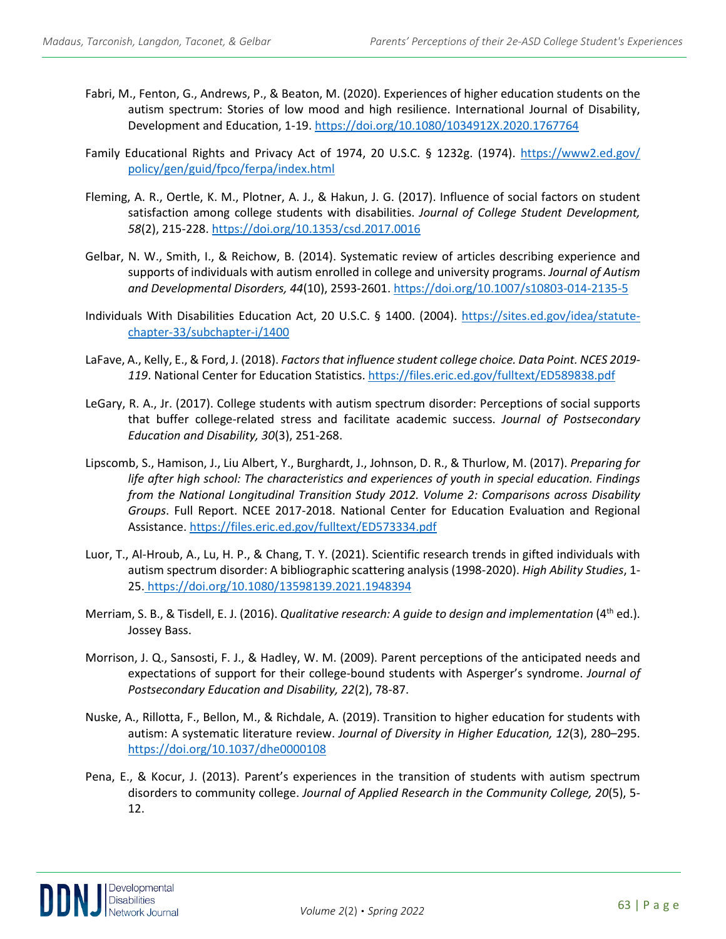- Fabri, M., Fenton, G., Andrews, P., & Beaton, M. (2020). Experiences of higher education students on the autism spectrum: Stories of low mood and high resilience. International Journal of Disability, Development and Education, 1-19[. https://doi.org/10.1080/1034912X.2020.1767764](https://doi.org/10.1080/1034912X.2020.1767764)
- Family Educational Rights and Privacy Act of 1974, 20 U.S.C. § 1232g. (1974). [https://www2.ed.gov/](https://www2.ed.gov/%20policy/gen/guid/fpco/ferpa/index.html)  [policy/gen/guid/fpco/ferpa/index.html](https://www2.ed.gov/%20policy/gen/guid/fpco/ferpa/index.html)
- Fleming, A. R., Oertle, K. M., Plotner, A. J., & Hakun, J. G. (2017). Influence of social factors on student satisfaction among college students with disabilities. *Journal of College Student Development, 58*(2), 215-228[. https://doi.org/10.1353/csd.2017.0016](https://doi.org/10.1353/csd.2017.0016)
- Gelbar, N. W., Smith, I., & Reichow, B. (2014). Systematic review of articles describing experience and supports of individuals with autism enrolled in college and university programs. *Journal of Autism and Developmental Disorders, 44*(10), 2593-2601.<https://doi.org/10.1007/s10803-014-2135-5>
- Individuals With Disabilities Education Act, 20 U.S.C. § 1400. (2004). [https://sites.ed.gov/idea/statute](https://sites.ed.gov/idea/statute-chapter-33/subchapter-i/1400)[chapter-33/subchapter-i/1400](https://sites.ed.gov/idea/statute-chapter-33/subchapter-i/1400)
- LaFave, A., Kelly, E., & Ford, J. (2018). *Factors that influence student college choice. Data Point. NCES 2019- 119*. National Center for Education Statistics[. https://files.eric.ed.gov/fulltext/ED589838.pdf](https://files.eric.ed.gov/fulltext/ED589838.pdf)
- LeGary, R. A., Jr. (2017). College students with autism spectrum disorder: Perceptions of social supports that buffer college-related stress and facilitate academic success. *Journal of Postsecondary Education and Disability, 30*(3), 251-268.
- Lipscomb, S., Hamison, J., Liu Albert, Y., Burghardt, J., Johnson, D. R., & Thurlow, M. (2017). *Preparing for life after high school: The characteristics and experiences of youth in special education. Findings from the National Longitudinal Transition Study 2012. Volume 2: Comparisons across Disability Groups*. Full Report. NCEE 2017-2018. National Center for Education Evaluation and Regional Assistance.<https://files.eric.ed.gov/fulltext/ED573334.pdf>
- Luor, T., Al-Hroub, A., Lu, H. P., & Chang, T. Y. (2021). Scientific research trends in gifted individuals with autism spectrum disorder: A bibliographic scattering analysis (1998-2020). *High Ability Studies*, 1- 25. <https://doi.org/10.1080/13598139.2021.1948394>
- Merriam, S. B., & Tisdell, E. J. (2016). *Qualitative research: A guide to design and implementation* (4th ed.). Jossey Bass.
- Morrison, J. Q., Sansosti, F. J., & Hadley, W. M. (2009). Parent perceptions of the anticipated needs and expectations of support for their college-bound students with Asperger's syndrome. *Journal of Postsecondary Education and Disability, 22*(2), 78-87.
- Nuske, A., Rillotta, F., Bellon, M., & Richdale, A. (2019). Transition to higher education for students with autism: A systematic literature review. *Journal of Diversity in Higher Education, 12*(3), 280–295. <https://doi.org/10.1037/dhe0000108>
- Pena, E., & Kocur, J. (2013). Parent's experiences in the transition of students with autism spectrum disorders to community college. *Journal of Applied Research in the Community College, 20*(5), 5- 12.